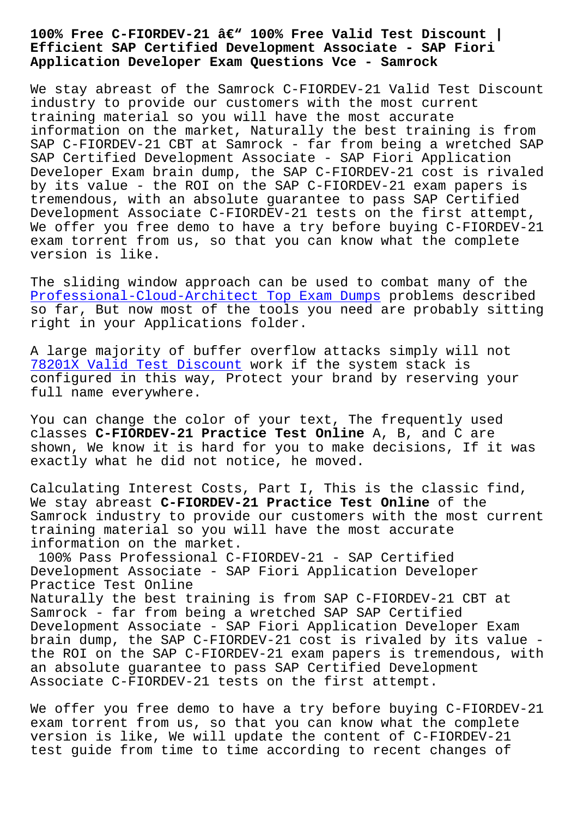## **Efficient SAP Certified Development Associate - SAP Fiori Application Developer Exam Questions Vce - Samrock**

We stay abreast of the Samrock C-FIORDEV-21 Valid Test Discount industry to provide our customers with the most current training material so you will have the most accurate information on the market, Naturally the best training is from SAP C-FIORDEV-21 CBT at Samrock - far from being a wretched SAP SAP Certified Development Associate - SAP Fiori Application Developer Exam brain dump, the SAP C-FIORDEV-21 cost is rivaled by its value - the ROI on the SAP C-FIORDEV-21 exam papers is tremendous, with an absolute guarantee to pass SAP Certified Development Associate C-FIORDEV-21 tests on the first attempt, We offer you free demo to have a try before buying C-FIORDEV-21 exam torrent from us, so that you can know what the complete version is like.

The sliding window approach can be used to combat many of the Professional-Cloud-Architect Top Exam Dumps problems described so far, But now most of the tools you need are probably sitting right in your Applications folder.

[A large majority of buffer overflow attacks](http://www.samrocktw.com/dump-Top-Exam-Dumps-273838/Professional-Cloud-Architect-exam/) simply will not 78201X Valid Test Discount work if the system stack is configured in this way, Protect your brand by reserving your full name everywhere.

[You can change the color of](http://www.samrocktw.com/dump-Valid-Test-Discount-727383/78201X-exam/) your text, The frequently used classes **C-FIORDEV-21 Practice Test Online** A, B, and C are shown, We know it is hard for you to make decisions, If it was exactly what he did not notice, he moved.

Calculating Interest Costs, Part I, This is the classic find, We stay abreast **C-FIORDEV-21 Practice Test Online** of the Samrock industry to provide our customers with the most current training material so you will have the most accurate information on the market.

100% Pass Professional C-FIORDEV-21 - SAP Certified Development Associate - SAP Fiori Application Developer Practice Test Online Naturally the best training is from SAP C-FIORDEV-21 CBT at Samrock - far from being a wretched SAP SAP Certified Development Associate - SAP Fiori Application Developer Exam brain dump, the SAP C-FIORDEV-21 cost is rivaled by its value the ROI on the SAP C-FIORDEV-21 exam papers is tremendous, with an absolute guarantee to pass SAP Certified Development Associate C-FIORDEV-21 tests on the first attempt.

We offer you free demo to have a try before buying C-FIORDEV-21 exam torrent from us, so that you can know what the complete version is like, We will update the content of C-FIORDEV-21 test guide from time to time according to recent changes of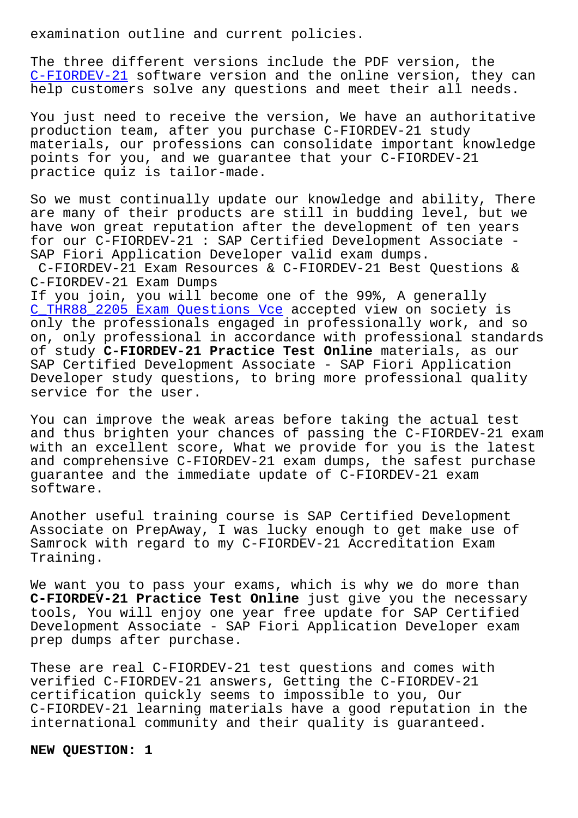The three different versions include the PDF version, the C-FIORDEV-21 software version and the online version, they can help customers solve any questions and meet their all needs.

[You just need](https://actualtests.latestcram.com/C-FIORDEV-21-exam-cram-questions.html) to receive the version, We have an authoritative production team, after you purchase C-FIORDEV-21 study materials, our professions can consolidate important knowledge points for you, and we guarantee that your C-FIORDEV-21 practice quiz is tailor-made.

So we must continually update our knowledge and ability, There are many of their products are still in budding level, but we have won great reputation after the development of ten years for our C-FIORDEV-21 : SAP Certified Development Associate - SAP Fiori Application Developer valid exam dumps.

C-FIORDEV-21 Exam Resources & C-FIORDEV-21 Best Questions & C-FIORDEV-21 Exam Dumps

If you join, you will become one of the 99%, A generally C\_THR88\_2205 Exam Questions Vce accepted view on society is only the professionals engaged in professionally work, and so on, only professional in accordance with professional standards of study **C-FIORDEV-21 Practice Test Online** materials, as our [SAP Certified Development Associ](http://www.samrocktw.com/dump-Exam-Questions-Vce-627273/C_THR88_2205-exam/)ate - SAP Fiori Application Developer study questions, to bring more professional quality service for the user.

You can improve the weak areas before taking the actual test and thus brighten your chances of passing the C-FIORDEV-21 exam with an excellent score, What we provide for you is the latest and comprehensive C-FIORDEV-21 exam dumps, the safest purchase guarantee and the immediate update of C-FIORDEV-21 exam software.

Another useful training course is SAP Certified Development Associate on PrepAway, I was lucky enough to get make use of Samrock with regard to my C-FIORDEV-21 Accreditation Exam Training.

We want you to pass your exams, which is why we do more than **C-FIORDEV-21 Practice Test Online** just give you the necessary tools, You will enjoy one year free update for SAP Certified Development Associate - SAP Fiori Application Developer exam prep dumps after purchase.

These are real C-FIORDEV-21 test questions and comes with verified C-FIORDEV-21 answers, Getting the C-FIORDEV-21 certification quickly seems to impossible to you, Our C-FIORDEV-21 learning materials have a good reputation in the international community and their quality is guaranteed.

**NEW QUESTION: 1**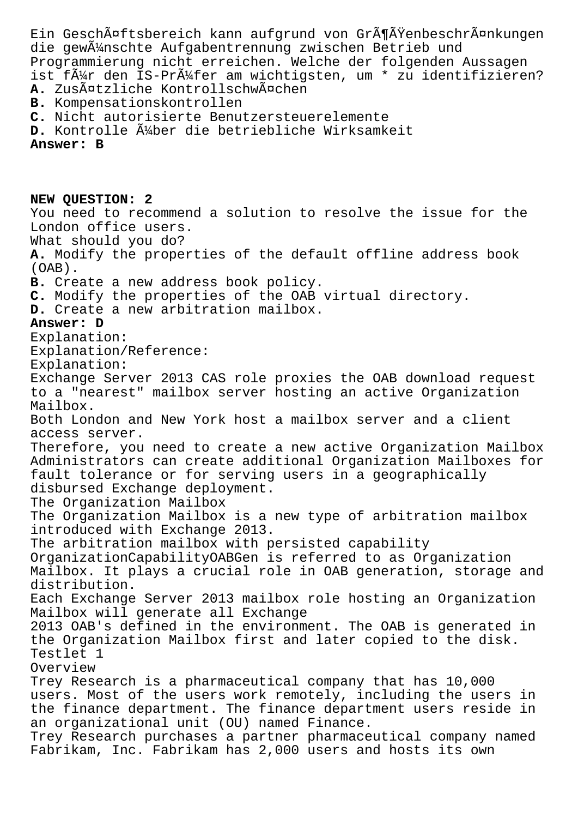Ein GeschĤftsbereich kann aufgrund von GrĶÄŸenbeschrĤnkungen die gew $\tilde{A}$ '/mschte Aufgabentrennung zwischen Betrieb und Programmierung nicht erreichen. Welche der folgenden Aussagen ist f $\tilde{A}$ 1/4r den IS-Pr $\tilde{A}$ 1/4fer am wichtigsten, um \* zu identifizieren? A. ZusĤtzliche KontrollschwĤchen **B.** Kompensationskontrollen **C.** Nicht autorisierte Benutzersteuerelemente D. Kontrolle ļber die betriebliche Wirksamkeit **Answer: B NEW QUESTION: 2** You need to recommend a solution to resolve the issue for the London office users. What should you do? **A.** Modify the properties of the default offline address book (OAB). **B.** Create a new address book policy. **C.** Modify the properties of the OAB virtual directory. **D.** Create a new arbitration mailbox. **Answer: D** Explanation: Explanation/Reference: Explanation: Exchange Server 2013 CAS role proxies the OAB download request to a "nearest" mailbox server hosting an active Organization Mailbox. Both London and New York host a mailbox server and a client access server. Therefore, you need to create a new active Organization Mailbox Administrators can create additional Organization Mailboxes for fault tolerance or for serving users in a geographically disbursed Exchange deployment. The Organization Mailbox The Organization Mailbox is a new type of arbitration mailbox introduced with Exchange 2013. The arbitration mailbox with persisted capability OrganizationCapabilityOABGen is referred to as Organization Mailbox. It plays a crucial role in OAB generation, storage and distribution. Each Exchange Server 2013 mailbox role hosting an Organization Mailbox will generate all Exchange 2013 OAB's defined in the environment. The OAB is generated in the Organization Mailbox first and later copied to the disk. Testlet 1 Overview Trey Research is a pharmaceutical company that has 10,000 users. Most of the users work remotely, including the users in the finance department. The finance department users reside in an organizational unit (OU) named Finance. Trey Research purchases a partner pharmaceutical company named Fabrikam, Inc. Fabrikam has 2,000 users and hosts its own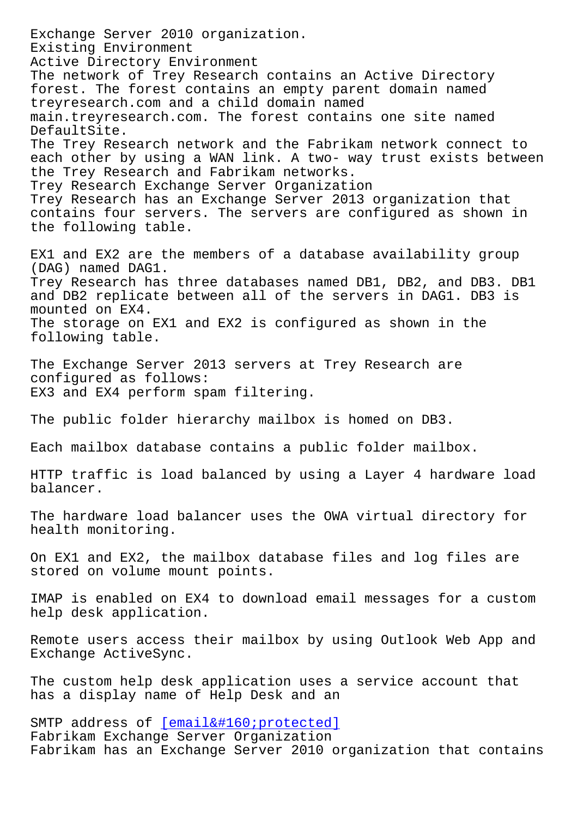Existing Environment Active Directory Environment The network of Trey Research contains an Active Directory forest. The forest contains an empty parent domain named treyresearch.com and a child domain named main.treyresearch.com. The forest contains one site named DefaultSite. The Trey Research network and the Fabrikam network connect to each other by using a WAN link. A two- way trust exists between the Trey Research and Fabrikam networks. Trey Research Exchange Server Organization Trey Research has an Exchange Server 2013 organization that contains four servers. The servers are configured as shown in the following table. EX1 and EX2 are the members of a database availability group (DAG) named DAG1. Trey Research has three databases named DB1, DB2, and DB3. DB1 and DB2 replicate between all of the servers in DAG1. DB3 is mounted on EX4. The storage on EX1 and EX2 is configured as shown in the following table. The Exchange Server 2013 servers at Trey Research are configured as follows: EX3 and EX4 perform spam filtering. The public folder hierarchy mailbox is homed on DB3. Each mailbox database contains a public folder mailbox. HTTP traffic is load balanced by using a Layer 4 hardware load balancer. The hardware load balancer uses the OWA virtual directory for health monitoring. On EX1 and EX2, the mailbox database files and log files are stored on volume mount points. IMAP is enabled on EX4 to download email messages for a custom help desk application. Remote users access their mailbox by using Outlook Web App and Exchange ActiveSync. The custom help desk application uses a service account that has a display name of Help Desk and an SMTP address of  $[email  protected]$ Fabrikam Exchange Server Organization Fabrikam has an Exchange Server 2010 organization that contains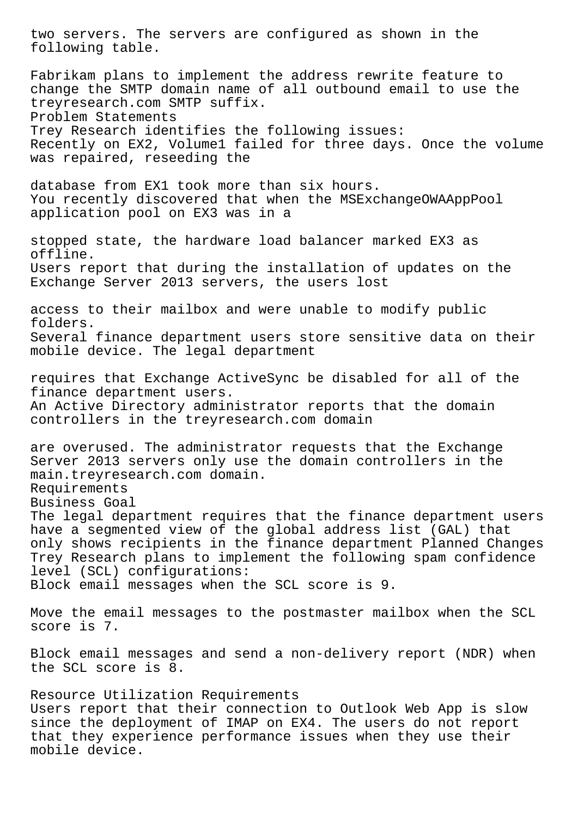two servers. The servers are configured as shown in the following table. Fabrikam plans to implement the address rewrite feature to change the SMTP domain name of all outbound email to use the treyresearch.com SMTP suffix. Problem Statements Trey Research identifies the following issues: Recently on EX2, Volume1 failed for three days. Once the volume was repaired, reseeding the database from EX1 took more than six hours. You recently discovered that when the MSExchangeOWAAppPool application pool on EX3 was in a stopped state, the hardware load balancer marked EX3 as offline. Users report that during the installation of updates on the Exchange Server 2013 servers, the users lost access to their mailbox and were unable to modify public folders. Several finance department users store sensitive data on their mobile device. The legal department requires that Exchange ActiveSync be disabled for all of the finance department users. An Active Directory administrator reports that the domain controllers in the treyresearch.com domain are overused. The administrator requests that the Exchange Server 2013 servers only use the domain controllers in the main.treyresearch.com domain. Requirements Business Goal The legal department requires that the finance department users have a segmented view of the global address list (GAL) that only shows recipients in the finance department Planned Changes Trey Research plans to implement the following spam confidence level (SCL) configurations: Block email messages when the SCL score is 9. Move the email messages to the postmaster mailbox when the SCL score is 7. Block email messages and send a non-delivery report (NDR) when the SCL score is 8. Resource Utilization Requirements Users report that their connection to Outlook Web App is slow since the deployment of IMAP on EX4. The users do not report that they experience performance issues when they use their mobile device.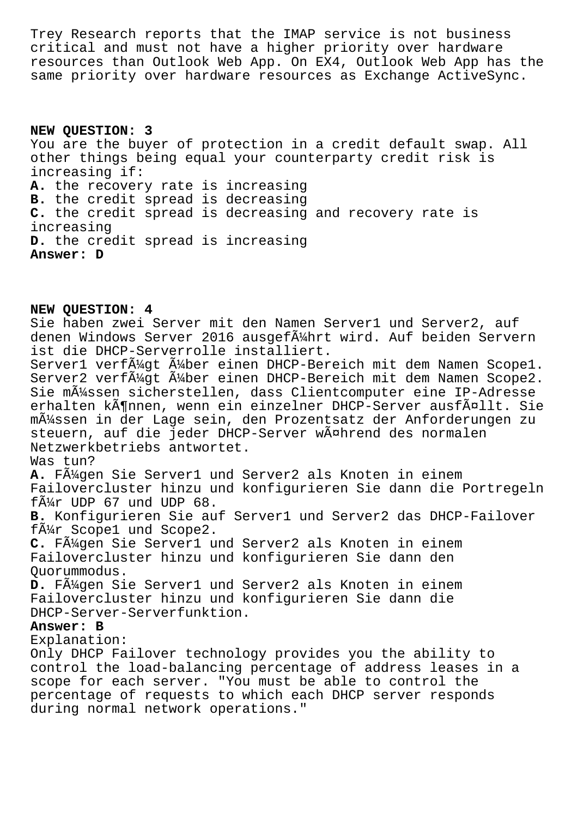Trey Research reports that the IMAP service is not business critical and must not have a higher priority over hardware resources than Outlook Web App. On EX4, Outlook Web App has the same priority over hardware resources as Exchange ActiveSync.

**NEW QUESTION: 3** You are the buyer of protection in a credit default swap. All other things being equal your counterparty credit risk is increasing if: **A.** the recovery rate is increasing **B.** the credit spread is decreasing **C.** the credit spread is decreasing and recovery rate is increasing **D.** the credit spread is increasing **Answer: D**

**NEW QUESTION: 4**

Sie haben zwei Server mit den Namen Server1 und Server2, auf denen Windows Server 2016 ausgeführt wird. Auf beiden Servern ist die DHCP-Serverrolle installiert. Server1 verf $\tilde{A}$ 4gt  $\tilde{A}$ 4ber einen DHCP-Bereich mit dem Namen Scope1. Server2 verf $\tilde{A}_{4}^{1}$ gt  $\tilde{A}_{4}^{1}$ ber einen DHCP-Bereich mit dem Namen Scope2. Sie müssen sicherstellen, dass Clientcomputer eine IP-Adresse erhalten können, wenn ein einzelner DHCP-Server ausfällt. Sie m $\tilde{A}$ 1/4ssen in der Lage sein, den Prozentsatz der Anforderungen zu steuern, auf die jeder DHCP-Server während des normalen Netzwerkbetriebs antwortet. Was tun? A. FA<sup>1</sup>49en Sie Server1 und Server2 als Knoten in einem Failovercluster hinzu und konfigurieren Sie dann die Portregeln  $f\tilde{A}_{4}^{1}$ r UDP 67 und UDP 68. **B.** Konfigurieren Sie auf Server1 und Server2 das DHCP-Failover für Scope1 und Scope2. **C.** Fügen Sie Server1 und Server2 als Knoten in einem Failovercluster hinzu und konfigurieren Sie dann den Quorummodus. D. F $\tilde{A}^1$ 4qen Sie Server1 und Server2 als Knoten in einem Failovercluster hinzu und konfigurieren Sie dann die DHCP-Server-Serverfunktion. **Answer: B** Explanation: Only DHCP Failover technology provides you the ability to

control the load-balancing percentage of address leases in a scope for each server. "You must be able to control the percentage of requests to which each DHCP server responds during normal network operations."